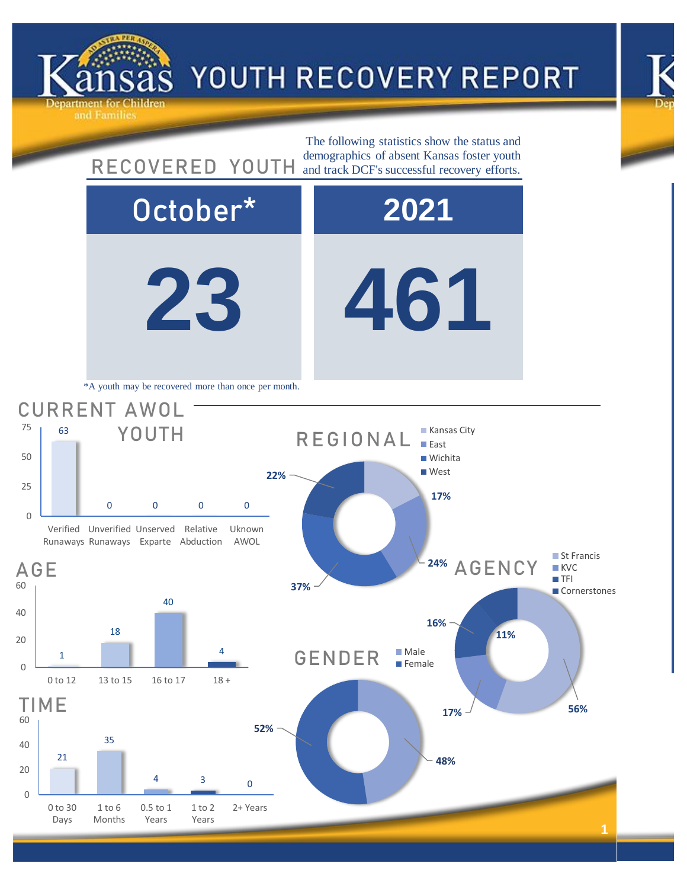



## **23 461** October\* **2021** 21 35 <sup>4</sup> <sup>3</sup> <sup>0</sup> 0 20 40 60 0 to 30 Days 1 to 6 Months 0.5 to 1 Years 1 to 2 Years 2+ Years TIME **48% 52%** GENDER Male **F**emale **17% 56% 16% 11%** 24% AGENCY St Francis **KVC**  $TFI$ Cornerstones 1 18 40 4 0 20 40 60 0 to 12 13 to 15 16 to 17 18 + AGE 63 0 0 0 0  $\Omega$ 25 50 75 Verified Unverified Unserved Relative Runaways Runaways Exparte Abduction Uknown AWOL CURRENT AWOL YOUTH The following statistics show the status and RECOVERED YOUTH and track DCF's successful recovery efforts. \*A youth may be recovered more than once per month. **17% 37% 22% REGIONAL Kansas City East Wichita West**

ind Families